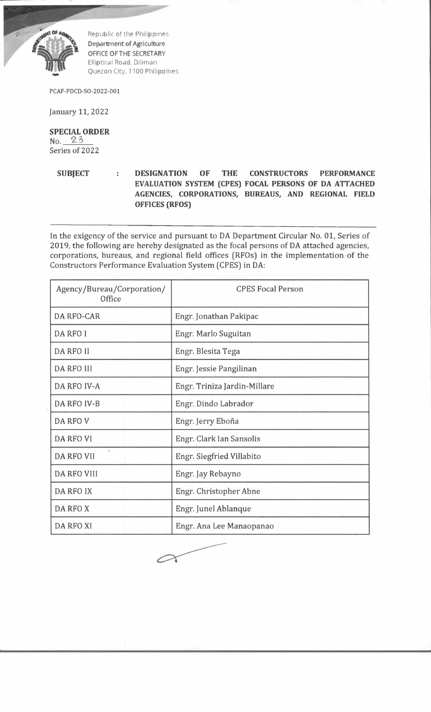

Republic of the Philippines Department of Agriculture OFFICE OF THE SECRETARY Elliptical Road, Diliman Quezon City, 1100 Philippines

PCAF-PDCD-SO-2022-001

January 11, 2022

**SPECIAL ORDER**  $No. 23$ Series of 2022

**SUBJECT : DESIGNATION OF THE CONSTRUCTORS PERFORMANCE EVALUATION SYSTEM (CPES) FOCAL PERSONS OF DA ATTACHED AGENCIES, CORPORATIONS, BUREAUS, AND REGIONAL FIELD OFFICES (RFOS)**

In the exigency of the service and pursuant to DA Department Circular No. 01, Series of 2019, the following are hereby designated as the focal persons of DA attached agencies, corporations, bureaus, and regional field offices (RFOs) in the implementation of the Constructors Performance Evaluation System (CPES) in DA:

| Agency/Bureau/Corporation/<br>Office | <b>CPES Focal Person</b>     |
|--------------------------------------|------------------------------|
| DA RFO-CAR                           | Engr. Jonathan Pakipac       |
| DA RFO I                             | Engr. Marlo Suguitan         |
| DA RFO II                            | Engr. Blesita Tega           |
| <b>DA RFO III</b>                    | Engr. Jessie Pangilinan      |
| DA RFO IV-A                          | Engr. Triniza Jardin-Millare |
| DA RFO IV-B                          | Engr. Dindo Labrador         |
| DA RFO V                             | Engr. Jerry Eboña            |
| <b>DA RFO VI</b>                     | Engr. Clark Ian Sansolis     |
| DA RFO VII                           | Engr. Siegfried Villabito    |
| <b>DA RFO VIII</b>                   | Engr. Jay Rebayno            |
| DA RFO IX                            | Engr. Christopher Abne       |
| DA RFO X                             | Engr. Junel Ablanque         |
| DA RFO XI                            | Engr. Ana Lee Manaopanao     |

 $\curvearrowright$